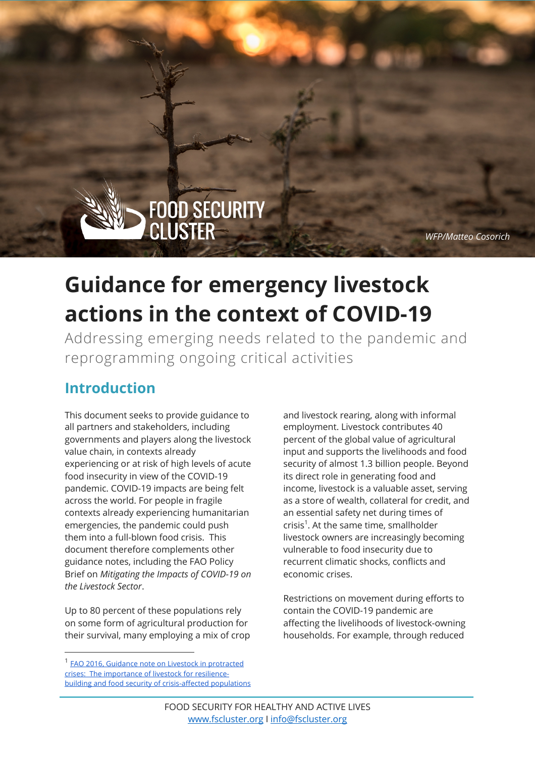*WFP/Matteo Cosorich*

# **Guidance for emergency livestock actions in the context of COVID-19**

FOOD SECURITY<br>CLUSTER

Addressing emerging needs related to the pandemic and reprogramming ongoing critical activities

### **Introduction**

This document seeks to provide guidance to all partners and stakeholders, including governments and players along the livestock value chain, in contexts already experiencing or at risk of high levels of acute food insecurity in view of the COVID-19 pandemic. COVID-19 impacts are being felt across the world. For people in fragile contexts already experiencing humanitarian emergencies, the pandemic could push them into a full-blown food crisis. This document therefore complements other guidance notes, including the FAO Policy Brief on *Mitigating the Impacts of COVID-19 on the Livestock Sector*.

Up to 80 percent of these populations rely on some form of agricultural production for their survival, many employing a mix of crop

and livestock rearing, along with informal employment. Livestock contributes 40 percent of the global value of agricultural input and supports the livelihoods and food security of almost 1.3 billion people. Beyond its direct role in generating food and income, livestock is a valuable asset, serving as a store of wealth, collateral for credit, and an essential safety net during times of crisis<sup>1</sup>. At the same time, smallholder livestock owners are increasingly becoming vulnerable to food insecurity due to recurrent climatic shocks, conflicts and economic crises.

**GUIDANCE FOR EMERGENCY LIVESTOCK ACTIONS** 

**IN THE CONTEXT OF COVID-1999** 

Restrictions on movement during efforts to contain the COVID-19 pandemic are affecting the livelihoods of livestock-owning households. For example, through reduced

<sup>1</sup> FAO 2016, Guidance note on Livestock in protracted crises: The importance of livestock for resiliencebuilding and food security of crisis-affected populations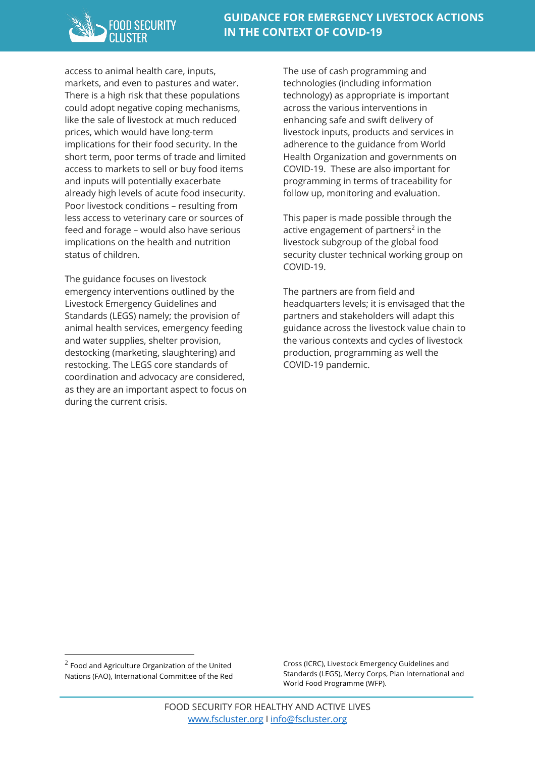access to animal health care, inputs, markets, and even to pastures and water. There is a high risk that these populations could adopt negative coping mechanisms, like the sale of livestock at much reduced prices, which would have long-term implications for their food security. In the short term, poor terms of trade and limited access to markets to sell or buy food items and inputs will potentially exacerbate already high levels of acute food insecurity. Poor livestock conditions – resulting from less access to veterinary care or sources of feed and forage – would also have serious implications on the health and nutrition status of children.

The guidance focuses on livestock emergency interventions outlined by the Livestock Emergency Guidelines and Standards (LEGS) namely; the provision of animal health services, emergency feeding and water supplies, shelter provision, destocking (marketing, slaughtering) and restocking. The LEGS core standards of coordination and advocacy are considered, as they are an important aspect to focus on during the current crisis.

The use of cash programming and technologies (including information technology) as appropriate is important across the various interventions in enhancing safe and swift delivery of livestock inputs, products and services in adherence to the guidance from World Health Organization and governments on COVID-19. These are also important for programming in terms of traceability for follow up, monitoring and evaluation.

This paper is made possible through the active engagement of partners<sup>2</sup> in the livestock subgroup of the global food security cluster technical working group on COVID-19.

The partners are from field and headquarters levels; it is envisaged that the partners and stakeholders will adapt this guidance across the livestock value chain to the various contexts and cycles of livestock production, programming as well the COVID-19 pandemic.

Cross (ICRC), Livestock Emergency Guidelines and Standards (LEGS), Mercy Corps, Plan International and World Food Programme (WFP).

 $2$  Food and Agriculture Organization of the United Nations (FAO), International Committee of the Red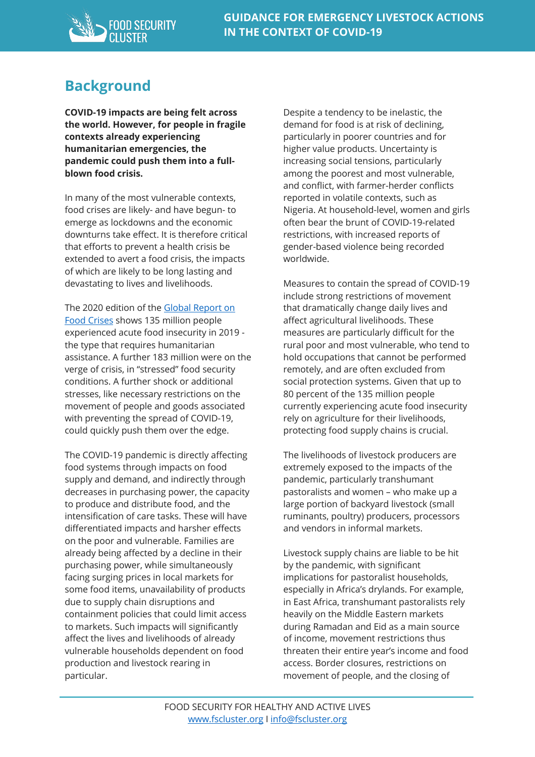

### **Background**

**COVID-19 impacts are being felt across the world. However, for people in fragile contexts already experiencing humanitarian emergencies, the pandemic could push them into a fullblown food crisis.** 

In many of the most vulnerable contexts, food crises are likely- and have begun- to emerge as lockdowns and the economic downturns take effect. It is therefore critical that efforts to prevent a health crisis be extended to avert a food crisis, the impacts of which are likely to be long lasting and devastating to lives and livelihoods.

The 2020 edition of the Global Report on Food Crises shows 135 million people experienced acute food insecurity in 2019 the type that requires humanitarian assistance. A further 183 million were on the verge of crisis, in "stressed" food security conditions. A further shock or additional stresses, like necessary restrictions on the movement of people and goods associated with preventing the spread of COVID-19, could quickly push them over the edge.

The COVID-19 pandemic is directly affecting food systems through impacts on food supply and demand, and indirectly through decreases in purchasing power, the capacity to produce and distribute food, and the intensification of care tasks. These will have differentiated impacts and harsher effects on the poor and vulnerable. Families are already being affected by a decline in their purchasing power, while simultaneously facing surging prices in local markets for some food items, unavailability of products due to supply chain disruptions and containment policies that could limit access to markets. Such impacts will significantly affect the lives and livelihoods of already vulnerable households dependent on food production and livestock rearing in particular.

Despite a tendency to be inelastic, the demand for food is at risk of declining, particularly in poorer countries and for higher value products. Uncertainty is increasing social tensions, particularly among the poorest and most vulnerable, and conflict, with farmer-herder conflicts reported in volatile contexts, such as Nigeria. At household-level, women and girls often bear the brunt of COVID-19-related restrictions, with increased reports of gender-based violence being recorded worldwide.

Measures to contain the spread of COVID-19 include strong restrictions of movement that dramatically change daily lives and affect agricultural livelihoods. These measures are particularly difficult for the rural poor and most vulnerable, who tend to hold occupations that cannot be performed remotely, and are often excluded from social protection systems. Given that up to 80 percent of the 135 million people currently experiencing acute food insecurity rely on agriculture for their livelihoods, protecting food supply chains is crucial.

The livelihoods of livestock producers are extremely exposed to the impacts of the pandemic, particularly transhumant pastoralists and women – who make up a large portion of backyard livestock (small ruminants, poultry) producers, processors and vendors in informal markets.

Livestock supply chains are liable to be hit by the pandemic, with significant implications for pastoralist households, especially in Africa's drylands. For example, in East Africa, transhumant pastoralists rely heavily on the Middle Eastern markets during Ramadan and Eid as a main source of income, movement restrictions thus threaten their entire year's income and food access. Border closures, restrictions on movement of people, and the closing of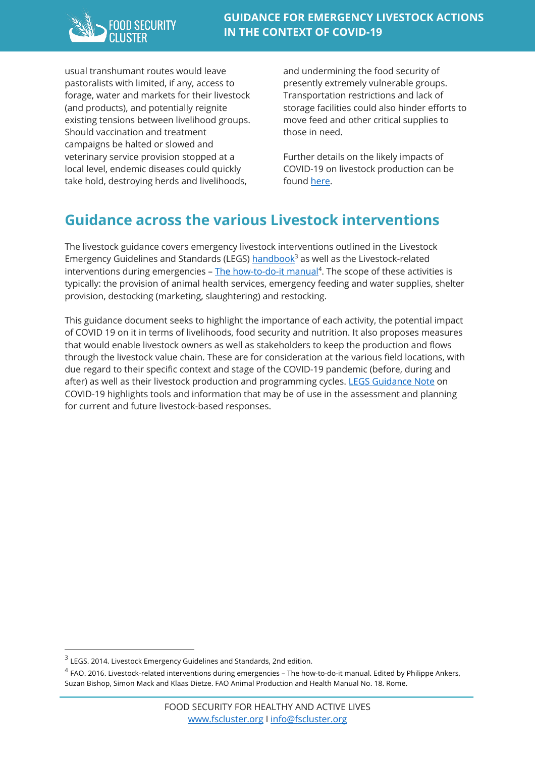

usual transhumant routes would leave pastoralists with limited, if any, access to forage, water and markets for their livestock (and products), and potentially reignite existing tensions between livelihood groups. Should vaccination and treatment campaigns be halted or slowed and veterinary service provision stopped at a local level, endemic diseases could quickly take hold, destroying herds and livelihoods,

and undermining the food security of presently extremely vulnerable groups. Transportation restrictions and lack of storage facilities could also hinder efforts to move feed and other critical supplies to those in need.

Further details on the likely impacts of COVID-19 on livestock production can be found here.

### **Guidance across the various Livestock interventions**

The livestock guidance covers emergency livestock interventions outlined in the Livestock Emergency Guidelines and Standards (LEGS)  $handbook<sup>3</sup>$  as well as the Livestock-related interventions during emergencies – The how-to-do-it manual<sup>4</sup>. The scope of these activities is typically: the provision of animal health services, emergency feeding and water supplies, shelter provision, destocking (marketing, slaughtering) and restocking.

This guidance document seeks to highlight the importance of each activity, the potential impact of COVID 19 on it in terms of livelihoods, food security and nutrition. It also proposes measures that would enable livestock owners as well as stakeholders to keep the production and flows through the livestock value chain. These are for consideration at the various field locations, with due regard to their specific context and stage of the COVID-19 pandemic (before, during and after) as well as their livestock production and programming cycles. LEGS Guidance Note on COVID-19 highlights tools and information that may be of use in the assessment and planning for current and future livestock-based responses.

 $3$  LEGS. 2014. Livestock Emergency Guidelines and Standards, 2nd edition.

<sup>4</sup> FAO. 2016. Livestock-related interventions during emergencies – The how-to-do-it manual. Edited by Philippe Ankers, Suzan Bishop, Simon Mack and Klaas Dietze. FAO Animal Production and Health Manual No. 18. Rome.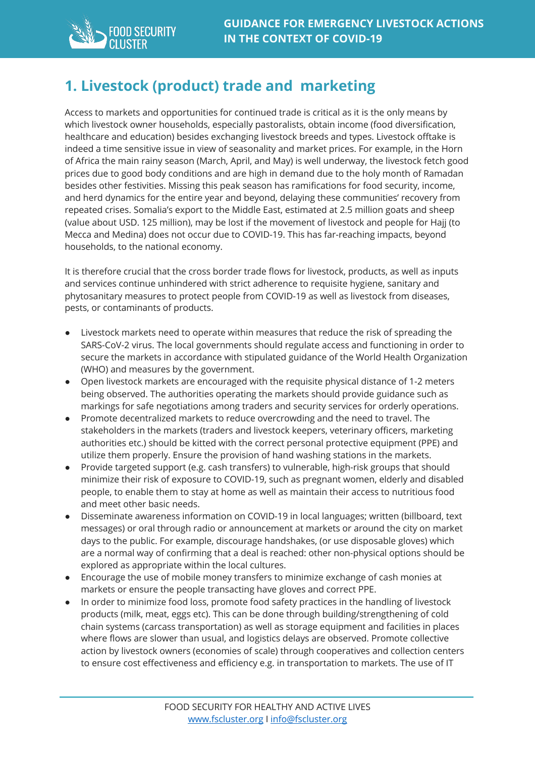

#### **1. Livestock (product) trade and marketing**

Access to markets and opportunities for continued trade is critical as it is the only means by which livestock owner households, especially pastoralists, obtain income (food diversification, healthcare and education) besides exchanging livestock breeds and types. Livestock offtake is indeed a time sensitive issue in view of seasonality and market prices. For example, in the Horn of Africa the main rainy season (March, April, and May) is well underway, the livestock fetch good prices due to good body conditions and are high in demand due to the holy month of Ramadan besides other festivities. Missing this peak season has ramifications for food security, income, and herd dynamics for the entire year and beyond, delaying these communities' recovery from repeated crises. Somalia's export to the Middle East, estimated at 2.5 million goats and sheep (value about USD. 125 million), may be lost if the movement of livestock and people for Hajj (to Mecca and Medina) does not occur due to COVID-19. This has far-reaching impacts, beyond households, to the national economy.

It is therefore crucial that the cross border trade flows for livestock, products, as well as inputs and services continue unhindered with strict adherence to requisite hygiene, sanitary and phytosanitary measures to protect people from COVID-19 as well as livestock from diseases, pests, or contaminants of products.

- Livestock markets need to operate within measures that reduce the risk of spreading the SARS-CoV-2 virus. The local governments should regulate access and functioning in order to secure the markets in accordance with stipulated guidance of the World Health Organization (WHO) and measures by the government.
- Open livestock markets are encouraged with the requisite physical distance of 1-2 meters being observed. The authorities operating the markets should provide guidance such as markings for safe negotiations among traders and security services for orderly operations.
- Promote decentralized markets to reduce overcrowding and the need to travel. The stakeholders in the markets (traders and livestock keepers, veterinary officers, marketing authorities etc.) should be kitted with the correct personal protective equipment (PPE) and utilize them properly. Ensure the provision of hand washing stations in the markets.
- Provide targeted support (e.g. cash transfers) to vulnerable, high-risk groups that should minimize their risk of exposure to COVID-19, such as pregnant women, elderly and disabled people, to enable them to stay at home as well as maintain their access to nutritious food and meet other basic needs.
- Disseminate awareness information on COVID-19 in local languages; written (billboard, text messages) or oral through radio or announcement at markets or around the city on market days to the public. For example, discourage handshakes, (or use disposable gloves) which are a normal way of confirming that a deal is reached: other non-physical options should be explored as appropriate within the local cultures.
- Encourage the use of mobile money transfers to minimize exchange of cash monies at markets or ensure the people transacting have gloves and correct PPE.
- In order to minimize food loss, promote food safety practices in the handling of livestock products (milk, meat, eggs etc). This can be done through building/strengthening of cold chain systems (carcass transportation) as well as storage equipment and facilities in places where flows are slower than usual, and logistics delays are observed. Promote collective action by livestock owners (economies of scale) through cooperatives and collection centers to ensure cost effectiveness and efficiency e.g. in transportation to markets. The use of IT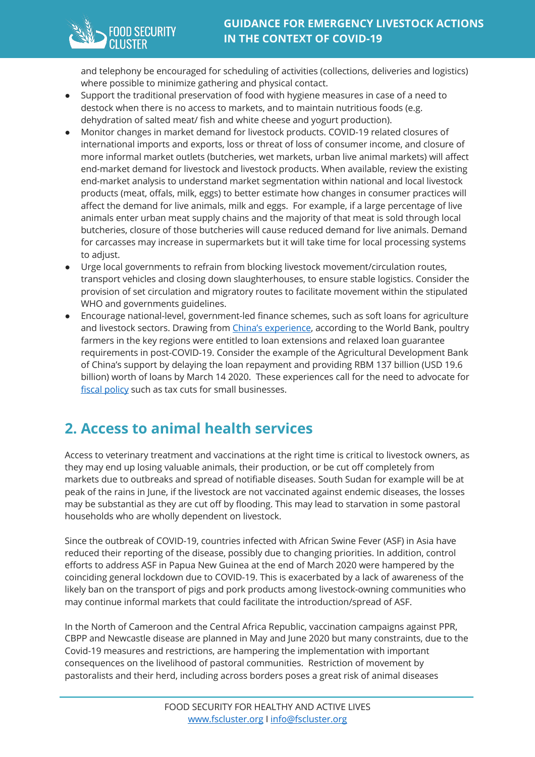

and telephony be encouraged for scheduling of activities (collections, deliveries and logistics) where possible to minimize gathering and physical contact.

- Support the traditional preservation of food with hygiene measures in case of a need to destock when there is no access to markets, and to maintain nutritious foods (e.g. dehydration of salted meat/ fish and white cheese and yogurt production).
- Monitor changes in market demand for livestock products. COVID-19 related closures of international imports and exports, loss or threat of loss of consumer income, and closure of more informal market outlets (butcheries, wet markets, urban live animal markets) will affect end-market demand for livestock and livestock products. When available, review the existing end-market analysis to understand market segmentation within national and local livestock products (meat, offals, milk, eggs) to better estimate how changes in consumer practices will affect the demand for live animals, milk and eggs. For example, if a large percentage of live animals enter urban meat supply chains and the majority of that meat is sold through local butcheries, closure of those butcheries will cause reduced demand for live animals. Demand for carcasses may increase in supermarkets but it will take time for local processing systems to adjust.
- Urge local governments to refrain from blocking livestock movement/circulation routes, transport vehicles and closing down slaughterhouses, to ensure stable logistics. Consider the provision of set circulation and migratory routes to facilitate movement within the stipulated WHO and governments guidelines.
- Encourage national-level, government-led finance schemes, such as soft loans for agriculture and livestock sectors. Drawing from China's experience, according to the World Bank, poultry farmers in the key regions were entitled to loan extensions and relaxed loan guarantee requirements in post-COVID-19. Consider the example of the Agricultural Development Bank of China's support by delaying the loan repayment and providing RBM 137 billion (USD 19.6 billion) worth of loans by March 14 2020. These experiences call for the need to advocate for fiscal policy such as tax cuts for small businesses.

# **2. Access to animal health services**

Access to veterinary treatment and vaccinations at the right time is critical to livestock owners, as they may end up losing valuable animals, their production, or be cut off completely from markets due to outbreaks and spread of notifiable diseases. South Sudan for example will be at peak of the rains in June, if the livestock are not vaccinated against endemic diseases, the losses may be substantial as they are cut off by flooding. This may lead to starvation in some pastoral households who are wholly dependent on livestock.

Since the outbreak of COVID-19, countries infected with African Swine Fever (ASF) in Asia have reduced their reporting of the disease, possibly due to changing priorities. In addition, control efforts to address ASF in Papua New Guinea at the end of March 2020 were hampered by the coinciding general lockdown due to COVID-19. This is exacerbated by a lack of awareness of the likely ban on the transport of pigs and pork products among livestock-owning communities who may continue informal markets that could facilitate the introduction/spread of ASF.

In the North of Cameroon and the Central Africa Republic, vaccination campaigns against PPR, CBPP and Newcastle disease are planned in May and June 2020 but many constraints, due to the Covid-19 measures and restrictions, are hampering the implementation with important consequences on the livelihood of pastoral communities. Restriction of movement by pastoralists and their herd, including across borders poses a great risk of animal diseases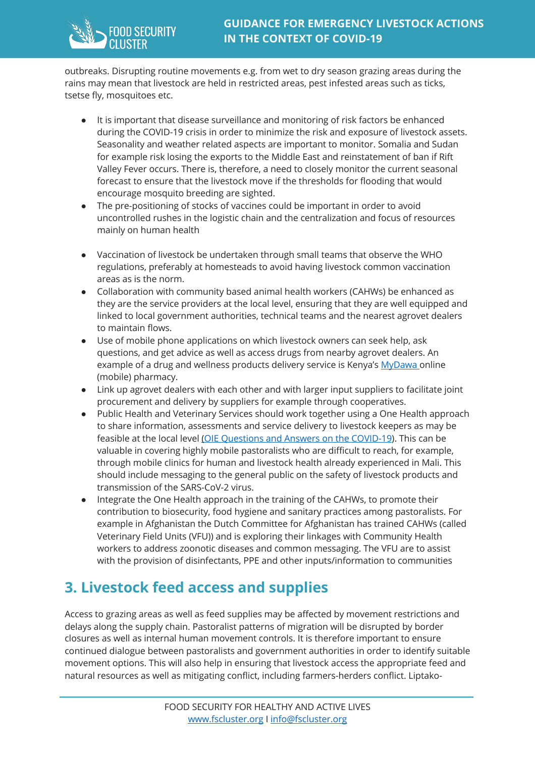

outbreaks. Disrupting routine movements e.g. from wet to dry season grazing areas during the rains may mean that livestock are held in restricted areas, pest infested areas such as ticks, tsetse fly, mosquitoes etc.

- It is important that disease surveillance and monitoring of risk factors be enhanced during the COVID-19 crisis in order to minimize the risk and exposure of livestock assets. Seasonality and weather related aspects are important to monitor. Somalia and Sudan for example risk losing the exports to the Middle East and reinstatement of ban if Rift Valley Fever occurs. There is, therefore, a need to closely monitor the current seasonal forecast to ensure that the livestock move if the thresholds for flooding that would encourage mosquito breeding are sighted.
- The pre-positioning of stocks of vaccines could be important in order to avoid uncontrolled rushes in the logistic chain and the centralization and focus of resources mainly on human health
- Vaccination of livestock be undertaken through small teams that observe the WHO regulations, preferably at homesteads to avoid having livestock common vaccination areas as is the norm.
- Collaboration with community based animal health workers (CAHWs) be enhanced as they are the service providers at the local level, ensuring that they are well equipped and linked to local government authorities, technical teams and the nearest agrovet dealers to maintain flows.
- Use of mobile phone applications on which livestock owners can seek help, ask questions, and get advice as well as access drugs from nearby agrovet dealers. An example of a drug and wellness products delivery service is Kenya's MyDawa online (mobile) pharmacy.
- Link up agrovet dealers with each other and with larger input suppliers to facilitate joint procurement and delivery by suppliers for example through cooperatives.
- Public Health and Veterinary Services should work together using a One Health approach to share information, assessments and service delivery to livestock keepers as may be feasible at the local level (OIE Questions and Answers on the COVID-19). This can be valuable in covering highly mobile pastoralists who are difficult to reach, for example, through mobile clinics for human and livestock health already experienced in Mali. This should include messaging to the general public on the safety of livestock products and transmission of the SARS-CoV-2 virus.
- Integrate the One Health approach in the training of the CAHWs, to promote their contribution to biosecurity, food hygiene and sanitary practices among pastoralists. For example in Afghanistan the Dutch Committee for Afghanistan has trained CAHWs (called Veterinary Field Units (VFU)) and is exploring their linkages with Community Health workers to address zoonotic diseases and common messaging. The VFU are to assist with the provision of disinfectants, PPE and other inputs/information to communities

#### **3. Livestock feed access and supplies**

Access to grazing areas as well as feed supplies may be affected by movement restrictions and delays along the supply chain. Pastoralist patterns of migration will be disrupted by border closures as well as internal human movement controls. It is therefore important to ensure continued dialogue between pastoralists and government authorities in order to identify suitable movement options. This will also help in ensuring that livestock access the appropriate feed and natural resources as well as mitigating conflict, including farmers-herders conflict. Liptako-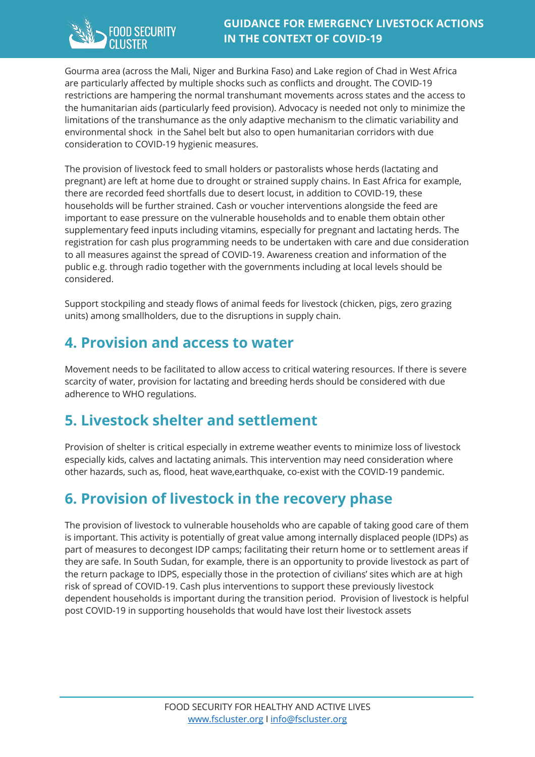Gourma area (across the Mali, Niger and Burkina Faso) and Lake region of Chad in West Africa are particularly affected by multiple shocks such as conflicts and drought. The COVID-19 restrictions are hampering the normal transhumant movements across states and the access to the humanitarian aids (particularly feed provision). Advocacy is needed not only to minimize the limitations of the transhumance as the only adaptive mechanism to the climatic variability and environmental shock in the Sahel belt but also to open humanitarian corridors with due consideration to COVID-19 hygienic measures.

The provision of livestock feed to small holders or pastoralists whose herds (lactating and pregnant) are left at home due to drought or strained supply chains. In East Africa for example, there are recorded feed shortfalls due to desert locust, in addition to COVID-19, these households will be further strained. Cash or voucher interventions alongside the feed are important to ease pressure on the vulnerable households and to enable them obtain other supplementary feed inputs including vitamins, especially for pregnant and lactating herds. The registration for cash plus programming needs to be undertaken with care and due consideration to all measures against the spread of COVID-19. Awareness creation and information of the public e.g. through radio together with the governments including at local levels should be considered.

Support stockpiling and steady flows of animal feeds for livestock (chicken, pigs, zero grazing units) among smallholders, due to the disruptions in supply chain.

#### **4. Provision and access to water**

Movement needs to be facilitated to allow access to critical watering resources. If there is severe scarcity of water, provision for lactating and breeding herds should be considered with due adherence to WHO regulations.

#### **5. Livestock shelter and settlement**

Provision of shelter is critical especially in extreme weather events to minimize loss of livestock especially kids, calves and lactating animals. This intervention may need consideration where other hazards, such as, flood, heat wave,earthquake, co-exist with the COVID-19 pandemic.

# **6. Provision of livestock in the recovery phase**

The provision of livestock to vulnerable households who are capable of taking good care of them is important. This activity is potentially of great value among internally displaced people (IDPs) as part of measures to decongest IDP camps; facilitating their return home or to settlement areas if they are safe. In South Sudan, for example, there is an opportunity to provide livestock as part of the return package to IDPS, especially those in the protection of civilians' sites which are at high risk of spread of COVID-19. Cash plus interventions to support these previously livestock dependent households is important during the transition period. Provision of livestock is helpful post COVID-19 in supporting households that would have lost their livestock assets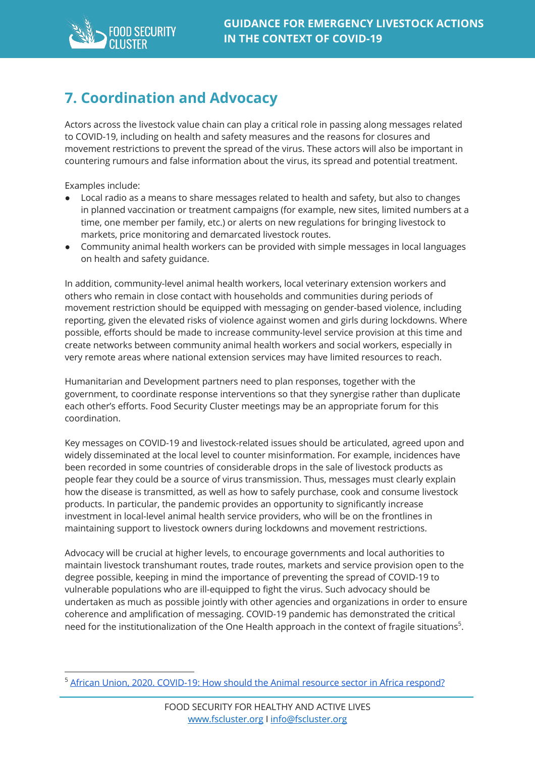

### **7. Coordination and Advocacy**

Actors across the livestock value chain can play a critical role in passing along messages related to COVID-19, including on health and safety measures and the reasons for closures and movement restrictions to prevent the spread of the virus. These actors will also be important in countering rumours and false information about the virus, its spread and potential treatment.

Examples include:

- Local radio as a means to share messages related to health and safety, but also to changes in planned vaccination or treatment campaigns (for example, new sites, limited numbers at a time, one member per family, etc.) or alerts on new regulations for bringing livestock to markets, price monitoring and demarcated livestock routes.
- Community animal health workers can be provided with simple messages in local languages on health and safety guidance.

In addition, community-level animal health workers, local veterinary extension workers and others who remain in close contact with households and communities during periods of movement restriction should be equipped with messaging on gender-based violence, including reporting, given the elevated risks of violence against women and girls during lockdowns. Where possible, efforts should be made to increase community-level service provision at this time and create networks between community animal health workers and social workers, especially in very remote areas where national extension services may have limited resources to reach.

Humanitarian and Development partners need to plan responses, together with the government, to coordinate response interventions so that they synergise rather than duplicate each other's efforts. Food Security Cluster meetings may be an appropriate forum for this coordination.

Key messages on COVID-19 and livestock-related issues should be articulated, agreed upon and widely disseminated at the local level to counter misinformation. For example, incidences have been recorded in some countries of considerable drops in the sale of livestock products as people fear they could be a source of virus transmission. Thus, messages must clearly explain how the disease is transmitted, as well as how to safely purchase, cook and consume livestock products. In particular, the pandemic provides an opportunity to significantly increase investment in local-level animal health service providers, who will be on the frontlines in maintaining support to livestock owners during lockdowns and movement restrictions.

Advocacy will be crucial at higher levels, to encourage governments and local authorities to maintain livestock transhumant routes, trade routes, markets and service provision open to the degree possible, keeping in mind the importance of preventing the spread of COVID-19 to vulnerable populations who are ill-equipped to fight the virus. Such advocacy should be undertaken as much as possible jointly with other agencies and organizations in order to ensure coherence and amplification of messaging. COVID-19 pandemic has demonstrated the critical need for the institutionalization of the One Health approach in the context of fragile situations<sup>5</sup>.

<sup>&</sup>lt;sup>5</sup> African Union, 2020. COVID-19: How should the Animal resource sector in Africa respond?